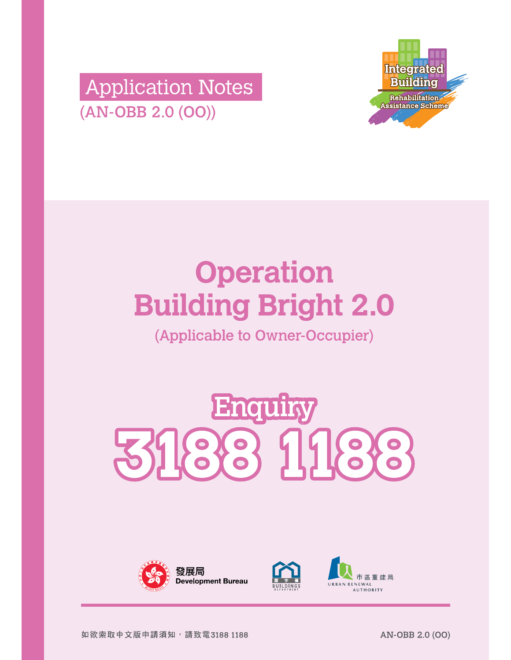



# **Operation Building Bright 2.0**

(Applicable to Owner-Occupier)







市區重建局 **RENEWAL AUTHORITY**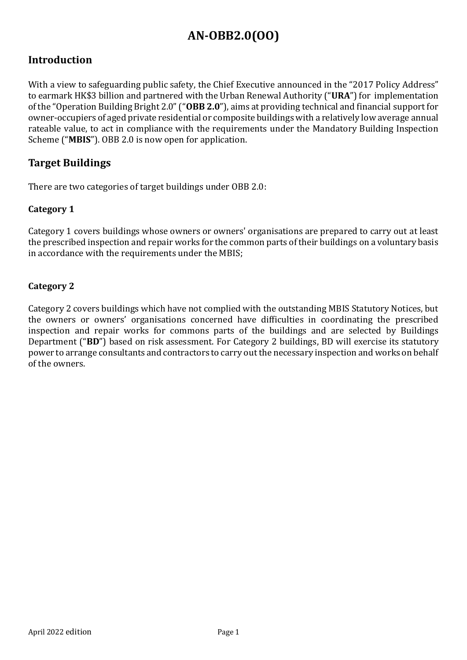#### **Introduction**

With a view to safeguarding public safety, the Chief Executive announced in the "2017 Policy Address" to earmark HK\$3 billion and partnered with the Urban Renewal Authority ("URA") for implementation of the "Operation Building Bright 2.0" ("**OBB 2.0**"), aims at providing technical and financial support for owner-occupiers of aged private residential or composite buildings with a relatively low average annual rateable value, to act in compliance with the requirements under the Mandatory Building Inspection Scheme ("**MBIS**"). OBB 2.0 is now open for application.

#### **Target Buildings**

There are two categories of target buildings under OBB 2.0:

#### **Category 1**

Category 1 covers buildings whose owners or owners' organisations are prepared to carry out at least the prescribed inspection and repair works for the common parts of their buildings on a voluntary basis in accordance with the requirements under the MBIS;

#### **Category 2**

Category 2 covers buildings which have not complied with the outstanding MBIS Statutory Notices, but the owners or owners' organisations concerned have difficulties in coordinating the prescribed inspection and repair works for commons parts of the buildings and are selected by Buildings Department ("**BD**") based on risk assessment. For Category 2 buildings, BD will exercise its statutory power to arrange consultants and contractors to carry out the necessary inspection and works on behalf of the owners.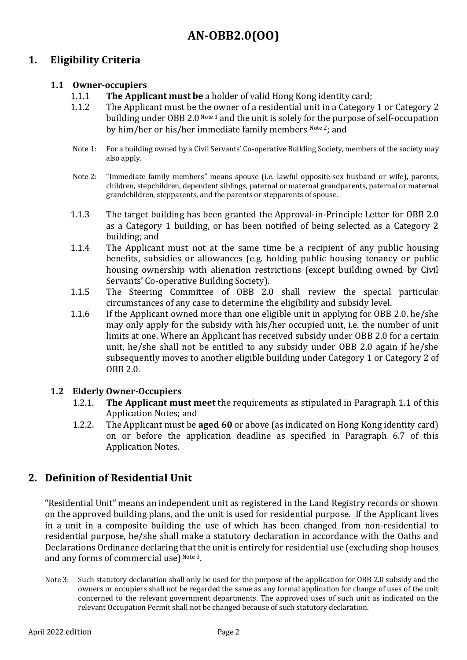#### **1. Eligibility Criteria**

#### **1.1 Owner-occupiers**

- 1.1.1 **The Applicant must be** a holder of valid Hong Kong identity card;
- 1.1.2 The Applicant must be the owner of a residential unit in a Category 1 or Category 2 building under OBB 2.0 Note 1 and the unit is solely for the purpose of self-occupation by him/her or his/her immediate family members Note 2; and
- Note 1: For a building owned by a Civil Servants' Co-operative Building Society, members of the society may also apply.
- Note 2: "Immediate family members" means spouse (i.e. lawful opposite-sex husband or wife), parents, children, stepchildren, dependent siblings, paternal or maternal grandparents, paternal or maternal grandchildren, stepparents, and the parents or stepparents of spouse.
- 1.1.3 The target building has been granted the Approval-in-Principle Letter for OBB 2.0 as a Category 1 building, or has been notified of being selected as a Category 2 building; and
- 1.1.4 The Applicant must not at the same time be a recipient of any public housing benefits, subsidies or allowances (e.g. holding public housing tenancy or public housing ownership with alienation restrictions (except building owned by Civil Servants' Co-operative Building Society).
- 1.1.5 The Steering Committee of OBB 2.0 shall review the special particular circumstances of any case to determine the eligibility and subsidy level.
- 1.1.6 If the Applicant owned more than one eligible unit in applying for OBB 2.0, he/she may only apply for the subsidy with his/her occupied unit, i.e. the number of unit limits at one. Where an Applicant has received subsidy under OBB 2.0 for a certain unit, he/she shall not be entitled to any subsidy under OBB 2.0 again if he/she subsequently moves to another eligible building under Category 1 or Category 2 of OBB 2.0.

#### **1.2 Elderly Owner-Occupiers**

- 1.2.1. **The Applicant must meet** the requirements as stipulated in Paragraph 1.1 of this Application Notes; and
- 1.2.2. The Applicant must be **aged 60** or above (as indicated on Hong Kong identity card) on or before the application deadline as specified in Paragraph 6.7 of this Application Notes.

#### **2. Definition of Residential Unit**

"Residential Unit" means an independent unit as registered in the Land Registry records or shown on the approved building plans, and the unit is used for residential purpose. If the Applicant lives in a unit in a composite building the use of which has been changed from non-residential to residential purpose, he/she shall make a statutory declaration in accordance with the Oaths and Declarations Ordinance declaring that the unit is entirely for residential use (excluding shop houses and any forms of commercial use) Note 3.

Note 3: Such statutory declaration shall only be used for the purpose of the application for OBB 2.0 subsidy and the owners or occupiers shall not be regarded the same as any formal application for change of uses of the unit concerned to the relevant government departments. The approved uses of such unit as indicated on the relevant Occupation Permit shall not be changed because of such statutory declaration.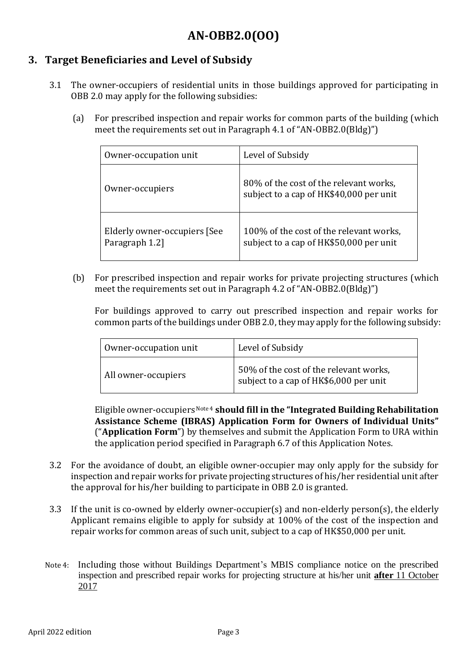#### **3. Target Beneficiaries and Level of Subsidy**

- 3.1 The owner-occupiers of residential units in those buildings approved for participating in OBB 2.0 may apply for the following subsidies:
	- (a) For prescribed inspection and repair works for common parts of the building (which meet the requirements set out in Paragraph 4.1 of "AN-OBB2.0(Bldg)")

| Owner-occupation unit                          | Level of Subsidy                                                                   |
|------------------------------------------------|------------------------------------------------------------------------------------|
| Owner-occupiers                                | 80% of the cost of the relevant works,<br>subject to a cap of HK\$40,000 per unit  |
| Elderly owner-occupiers [See<br>Paragraph 1.2] | 100% of the cost of the relevant works,<br>subject to a cap of HK\$50,000 per unit |

(b) For prescribed inspection and repair works for private projecting structures (which meet the requirements set out in Paragraph 4.2 of "AN-OBB2.0(Bldg)")

For buildings approved to carry out prescribed inspection and repair works for common parts of the buildings under OBB 2.0, they may apply for the following subsidy:

| Owner-occupation unit | Level of Subsidy                                                                 |
|-----------------------|----------------------------------------------------------------------------------|
| All owner-occupiers   | 50% of the cost of the relevant works,<br>subject to a cap of HK\$6,000 per unit |

Eligible owner-occupiers Note 4 **should fill in the "Integrated Building Rehabilitation Assistance Scheme (IBRAS) Application Form for Owners of Individual Units"** ("**Application Form**") by themselves and submit the Application Form to URA within the application period specified in Paragraph 6.7 of this Application Notes.

- 3.2 For the avoidance of doubt, an eligible owner-occupier may only apply for the subsidy for inspection and repair works for private projecting structures of his/her residential unit after the approval for his/her building to participate in OBB 2.0 is granted.
- 3.3 If the unit is co-owned by elderly owner-occupier(s) and non-elderly person(s), the elderly Applicant remains eligible to apply for subsidy at 100% of the cost of the inspection and repair works for common areas of such unit, subject to a cap of HK\$50,000 per unit.
- Note 4: Including those without Buildings Department's MBIS compliance notice on the prescribed inspection and prescribed repair works for projecting structure at his/her unit **after** 11 October 2017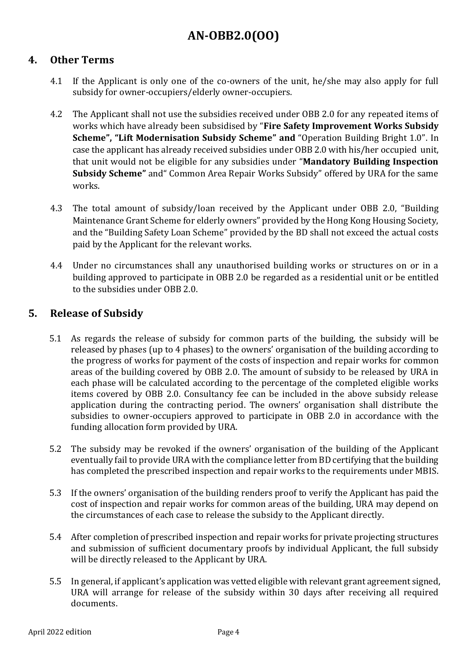#### **4. Other Terms**

- 4.1 If the Applicant is only one of the co-owners of the unit, he/she may also apply for full subsidy for owner-occupiers/elderly owner-occupiers.
- 4.2 The Applicant shall not use the subsidies received under OBB 2.0 for any repeated items of works which have already been subsidised by "**Fire Safety Improvement Works Subsidy Scheme", "Lift Modernisation Subsidy Scheme" and** "Operation Building Bright 1.0". In case the applicant has already received subsidies under OBB 2.0 with his/her occupied unit, that unit would not be eligible for any subsidies under "**Mandatory Building Inspection Subsidy Scheme"** and" Common Area Repair Works Subsidy" offered by URA for the same works.
- 4.3 The total amount of subsidy/loan received by the Applicant under OBB 2.0, "Building Maintenance Grant Scheme for elderly owners" provided by the Hong Kong Housing Society, and the "Building Safety Loan Scheme" provided by the BD shall not exceed the actual costs paid by the Applicant for the relevant works.
- 4.4 Under no circumstances shall any unauthorised building works or structures on or in a building approved to participate in OBB 2.0 be regarded as a residential unit or be entitled to the subsidies under OBB 2.0.

#### **5. Release of Subsidy**

- 5.1 As regards the release of subsidy for common parts of the building, the subsidy will be released by phases (up to 4 phases) to the owners' organisation of the building according to the progress of works for payment of the costs of inspection and repair works for common areas of the building covered by OBB 2.0. The amount of subsidy to be released by URA in each phase will be calculated according to the percentage of the completed eligible works items covered by OBB 2.0. Consultancy fee can be included in the above subsidy release application during the contracting period. The owners' organisation shall distribute the subsidies to owner-occupiers approved to participate in OBB 2.0 in accordance with the funding allocation form provided by URA.
- 5.2 The subsidy may be revoked if the owners' organisation of the building of the Applicant eventually fail to provide URA with the compliance letter from BD certifying that the building has completed the prescribed inspection and repair works to the requirements under MBIS.
- 5.3 If the owners' organisation of the building renders proof to verify the Applicant has paid the cost of inspection and repair works for common areas of the building, URA may depend on the circumstances of each case to release the subsidy to the Applicant directly.
- 5.4 After completion of prescribed inspection and repair works for private projecting structures and submission of sufficient documentary proofs by individual Applicant, the full subsidy will be directly released to the Applicant by URA.
- 5.5 In general, if applicant's application was vetted eligible with relevant grant agreement signed, URA will arrange for release of the subsidy within 30 days after receiving all required documents.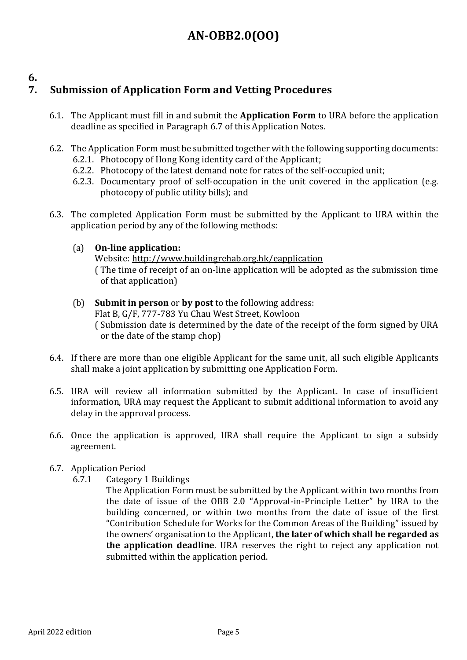#### **6.**

## **7. Submission of Application Form and Vetting Procedures**

- 6.1. The Applicant must fill in and submit the **Application Form** to URA before the application deadline as specified in Paragraph 6.7 of this Application Notes.
- 6.2. The Application Form must be submitted together with the following supporting documents: 6.2.1. Photocopy of Hong Kong identity card of the Applicant;
	- 6.2.2. Photocopy of the latest demand note for rates of the self-occupied unit;
	- 6.2.3. Documentary proof of self-occupation in the unit covered in the application (e.g. photocopy of public utility bills); and
- 6.3. The completed Application Form must be submitted by the Applicant to URA within the application period by any of the following methods:
	- (a) **On-line application:**

Website: http://www.buildingrehab.org.hk/eapplication ( The time of receipt of an on-line application will be adopted as the submission time of that application)

- (b) **Submit in person** or **by post** to the following address: Flat B, G/F, 777-783 Yu Chau West Street, Kowloon ( Submission date is determined by the date of the receipt of the form signed by URA or the date of the stamp chop)
- 6.4. If there are more than one eligible Applicant for the same unit, all such eligible Applicants shall make a joint application by submitting one Application Form.
- 6.5. URA will review all information submitted by the Applicant. In case of insufficient information, URA may request the Applicant to submit additional information to avoid any delay in the approval process.
- 6.6. Once the application is approved, URA shall require the Applicant to sign a subsidy agreement.
- 6.7. Application Period
	- 6.7.1 Category 1 Buildings
		- The Application Form must be submitted by the Applicant within two months from the date of issue of the OBB 2.0 "Approval-in-Principle Letter" by URA to the building concerned, or within two months from the date of issue of the first "Contribution Schedule for Works for the Common Areas of the Building" issued by the owners' organisation to the Applicant, **the later of which shall be regarded as the application deadline**. URA reserves the right to reject any application not submitted within the application period.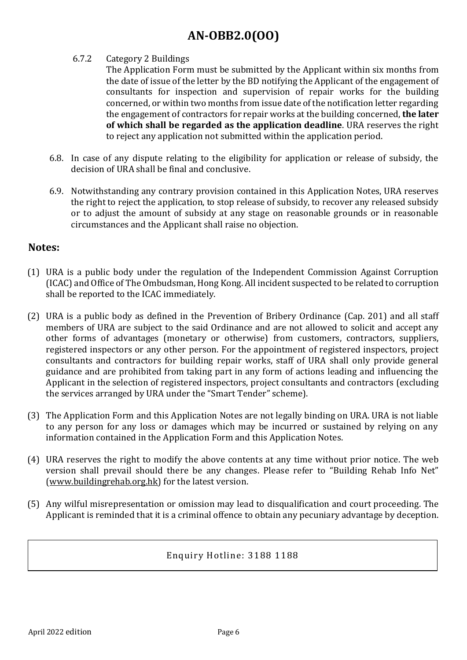#### 6.7.2 Category 2 Buildings

The Application Form must be submitted by the Applicant within six months from the date of issue of the letter by the BD notifying the Applicant of the engagement of consultants for inspection and supervision of repair works for the building concerned, or within two months from issue date of the notification letter regarding the engagement of contractors for repair works at the building concerned, **the later of which shall be regarded as the application deadline**. URA reserves the right to reject any application not submitted within the application period.

- 6.8. In case of any dispute relating to the eligibility for application or release of subsidy, the decision of URA shall be final and conclusive.
- 6.9. Notwithstanding any contrary provision contained in this Application Notes, URA reserves the right to reject the application, to stop release of subsidy, to recover any released subsidy or to adjust the amount of subsidy at any stage on reasonable grounds or in reasonable circumstances and the Applicant shall raise no objection.

#### **Notes:**

- (1) URA is a public body under the regulation of the Independent Commission Against Corruption (ICAC) and Office of The Ombudsman, Hong Kong. All incident suspected to be related to corruption shall be reported to the ICAC immediately.
- (2) URA is a public body as defined in the Prevention of Bribery Ordinance (Cap. 201) and all staff members of URA are subject to the said Ordinance and are not allowed to solicit and accept any other forms of advantages (monetary or otherwise) from customers, contractors, suppliers, registered inspectors or any other person. For the appointment of registered inspectors, project consultants and contractors for building repair works, staff of URA shall only provide general guidance and are prohibited from taking part in any form of actions leading and influencing the Applicant in the selection of registered inspectors, project consultants and contractors (excluding the services arranged by URA under the "Smart Tender" scheme).
- (3) The Application Form and this Application Notes are not legally binding on URA. URA is not liable to any person for any loss or damages which may be incurred or sustained by relying on any information contained in the Application Form and this Application Notes.
- (4) URA reserves the right to modify the above contents at any time without prior notice. The web version shall prevail should there be any changes. Please refer to "Building Rehab Info Net" (www.buildingrehab.org.hk) for the latest version.
- (5) Any wilful misrepresentation or omission may lead to disqualification and court proceeding. The Applicant is reminded that it is a criminal offence to obtain any pecuniary advantage by deception.

#### Enquiry Hotline: 3188 1188